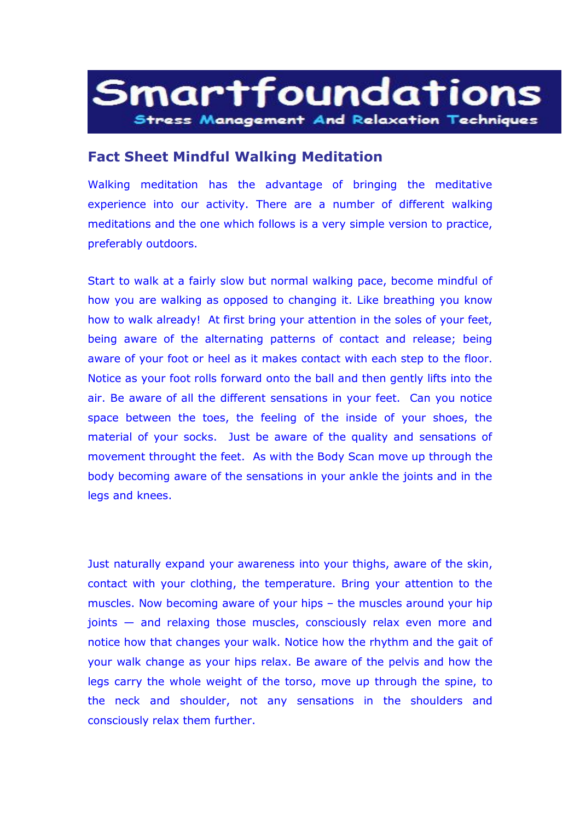## Smartfoundations **Stress Management And Relaxation Techniques**

## **Fact Sheet Mindful Walking Meditation**

Walking meditation has the advantage of bringing the meditative experience into our activity. There are a number of different walking meditations and the one which follows is a very simple version to practice, preferably outdoors.

Start to walk at a fairly slow but normal walking pace, become mindful of how you are walking as opposed to changing it. Like breathing you know how to walk already! At first bring your attention in the soles of your feet, being aware of the alternating patterns of contact and release; being aware of your foot or heel as it makes contact with each step to the floor. Notice as your foot rolls forward onto the ball and then gently lifts into the air. Be aware of all the different sensations in your feet. Can you notice space between the toes, the feeling of the inside of your shoes, the material of your socks. Just be aware of the quality and sensations of movement throught the feet. As with the Body Scan move up through the body becoming aware of the sensations in your ankle the joints and in the legs and knees.

Just naturally expand your awareness into your thighs, aware of the skin, contact with your clothing, the temperature. Bring your attention to the muscles. Now becoming aware of your hips – the muscles around your hip joints — and relaxing those muscles, consciously relax even more and notice how that changes your walk. Notice how the rhythm and the gait of your walk change as your hips relax. Be aware of the pelvis and how the legs carry the whole weight of the torso, move up through the spine, to the neck and shoulder, not any sensations in the shoulders and consciously relax them further.